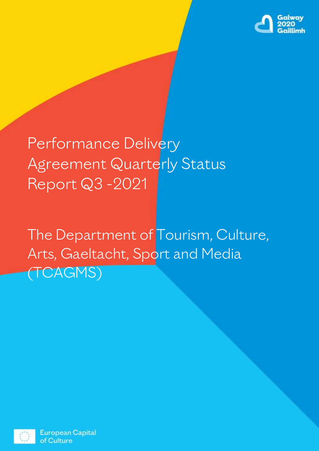

Performance Delivery Agreement Quarterly Status Report Q3 -2021

The Department of Tourism, Culture, Arts, Gaeltacht, Sport and Media (TCAGMS)



**European Capital** of Culture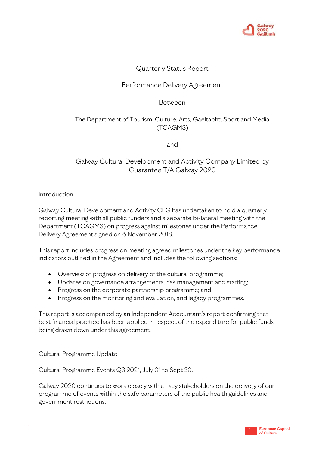

# Quarterly Status Report

# Performance Delivery Agreement

Between

# The Department of Tourism, Culture, Arts, Gaeltacht, Sport and Media (TCAGMS)

and

# Galway Cultural Development and Activity Company Limited by Guarantee T/A Galway 2020

Introduction

Galway Cultural Development and Activity CLG has undertaken to hold a quarterly reporting meeting with all public funders and a separate bi-lateral meeting with the Department (TCAGMS) on progress against milestones under the Performance Delivery Agreement signed on 6 November 2018.

This report includes progress on meeting agreed milestones under the key performance indicators outlined in the Agreement and includes the following sections:

- Overview of progress on delivery of the cultural programme;
- Updates on governance arrangements, risk management and staffing;
- Progress on the corporate partnership programme; and
- Progress on the monitoring and evaluation, and legacy programmes.

This report is accompanied by an Independent Accountant's report confirming that best financial practice has been applied in respect of the expenditure for public funds being drawn down under this agreement.

## Cultural Programme Update

Cultural Programme Events Q3 2021, July 01 to Sept 30.

Galway 2020 continues to work closely with all key stakeholders on the delivery of our programme of events within the safe parameters of the public health guidelines and government restrictions.

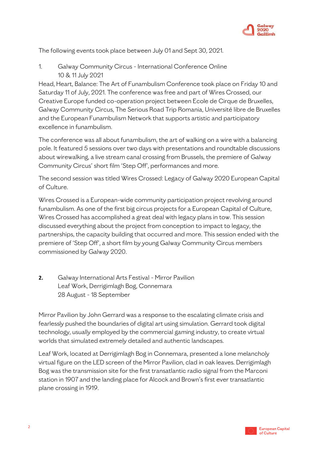

The following events took place between July 01 and Sept 30, 2021.

1. Galway Community Circus - International Conference Online 10 & 11 July 2021

Head, Heart, Balance: The Art of Funambulism Conference took place on Friday 10 and Saturday 11 of July, 2021. The conference was free and part of Wires Crossed, our Creative Europe funded co-operation project between Ecole de Cirque de Bruxelles, Galway Community Circus, The Serious Road Trip Romania, Université libre de Bruxelles and the European Funambulism Network that supports artistic and participatory excellence in funambulism.

The conference was all about funambulism, the art of walking on a wire with a balancing pole. It featured 5 sessions over two days with presentations and roundtable discussions about wirewalking, a live stream canal crossing from Brussels, the premiere of Galway Community Circus' short film 'Step Off', performances and more.

The second session was titled Wires Crossed: Legacy of Galway 2020 European Capital of Culture.

Wires Crossed is a European-wide community participation project revolving around funambulism. As one of the first big circus projects for a European Capital of Culture, Wires Crossed has accomplished a great deal with legacy plans in tow. This session discussed everything about the project from conception to impact to legacy, the partnerships, the capacity building that occurred and more. This session ended with the premiere of 'Step Off', a short film by young Galway Community Circus members commissioned by Galway 2020.

**2.** Galway International Arts Festival - Mirror Pavilion Leaf Work, Derrigimlagh Bog, Connemara 28 August - 18 September

Mirror Pavilion by John Gerrard was a response to the escalating climate crisis and fearlessly pushed the boundaries of digital art using simulation. Gerrard took digital technology, usually employed by the commercial gaming industry, to create virtual worlds that simulated extremely detailed and authentic landscapes.

Leaf Work, located at Derrigimlagh Bog in Connemara, presented a lone melancholy virtual figure on the LED screen of the Mirror Pavilion, clad in oak leaves. Derrigimlagh Bog was the transmission site for the first transatlantic radio signal from the Marconi station in 1907 and the landing place for Alcock and Brown's first ever transatlantic plane crossing in 1919.

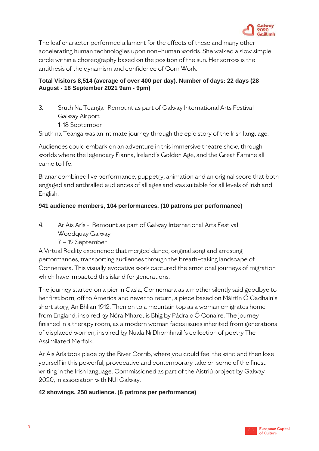

The leaf character performed a lament for the effects of these and many other accelerating human technologies upon non–human worlds. She walked a slow simple circle within a choreography based on the position of the sun. Her sorrow is the antithesis of the dynamism and confidence of Corn Work.

# **Total Visitors 8,514 (average of over 400 per day). Number of days: 22 days (28 August - 18 September 2021 9am - 9pm)**

3. Sruth Na Teanga- Remount as part of Galway International Arts Festival Galway Airport 1-18 September

Sruth na Teanga was an intimate journey through the epic story of the Irish language.

Audiences could embark on an adventure in this immersive theatre show, through worlds where the legendary Fianna, Ireland's Golden Age, and the Great Famine all came to life.

Branar combined live performance, puppetry, animation and an original score that both engaged and enthralled audiences of all ages and was suitable for all levels of Irish and English.

# **941 audience members, 104 performances. (10 patrons per performance)**

- 4. Ar Ais Arís Remount as part of Galway International Arts Festival
	- Woodquay Galway
	- 7 12 September

A Virtual Reality experience that merged dance, original song and arresting performances, transporting audiences through the breath–taking landscape of Connemara. This visually evocative work captured the emotional journeys of migration which have impacted this island for generations.

The journey started on a pier in Casla, Connemara as a mother silently said goodbye to her first born, off to America and never to return, a piece based on Máirtín Ó Cadhain's short story, An Bhlian 1912. Then on to a mountain top as a woman emigrates home from England, inspired by Nóra Mharcuis Bhig by Pádraic Ó Conaire. The journey finished in a therapy room, as a modern woman faces issues inherited from generations of displaced women, inspired by Nuala Ní Dhomhnaill's collection of poetry The Assimilated Merfolk.

Ar Ais Arís took place by the River Corrib, where you could feel the wind and then lose yourself in this powerful, provocative and contemporary take on some of the finest writing in the Irish language. Commissioned as part of the Aistriú project by Galway 2020, in association with NUI Galway.

## **42 showings, 250 audience. (6 patrons per performance)**

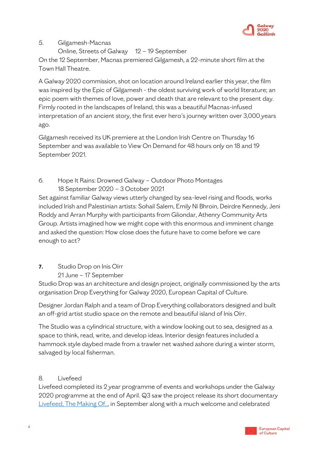

## 5. Gilgamesh-Macnas

Online, Streets of Galway 12 – 19 September

On the 12 September, Macnas premiered Gilgamesh, a 22-minute short film at the Town Hall Theatre.

A Galway 2020 commission, shot on location around Ireland earlier this year, the film was inspired by the Epic of Gilgamesh - the oldest surviving work of world literature; an epic poem with themes of love, power and death that are relevant to the present day. Firmly rooted in the landscapes of Ireland, this was a beautiful Macnas-infused interpretation of an ancient story, the first ever hero's journey written over 3,000 years ago.

Gilgamesh received its UK premiere at the London Irish Centre on Thursday 16 September and was available to View On Demand for 48 hours only on 18 and 19 September 2021.

6. Hope It Rains: Drowned Galway – Outdoor Photo Montages 18 September 2020 – 3 October 2021

Set against familiar Galway views utterly changed by sea-level rising and floods, works included Irish and Palestinian artists: Sohail Salem, Emily Ní Bhroin, Deirdre Kennedy, Jeni Roddy and Arran Murphy with participants from Gliondar, Athenry Community Arts Group. Artists imagined how we might cope with this enormous and imminent change and asked the question: How close does the future have to come before we care enough to act?

# **7.** Studio Drop on Inis Oírr

21 June – 17 September

Studio Drop was an architecture and design project, originally commissioned by the arts organisation Drop Everything for Galway 2020, European Capital of Culture.

Designer Jordan Ralph and a team of Drop Everything collaborators designed and built an off-grid artist studio space on the remote and beautiful island of Inis Oírr.

The Studio was a cylindrical structure, with a window looking out to sea, designed as a space to think, read, write, and develop ideas. Interior design features included a hammock style daybed made from a trawler net washed ashore during a winter storm, salvaged by local fisherman.

# 8. Livefeed

Livefeed completed its 2 year programme of events and workshops under the Galway 2020 programme at the end of April. Q3 saw the project release its short documentary [Livefeed, The Making Of..,](https://www.youtube.com/watch?v=-TRz-LFhnh0&t=901s) in September along with a much welcome and celebrated

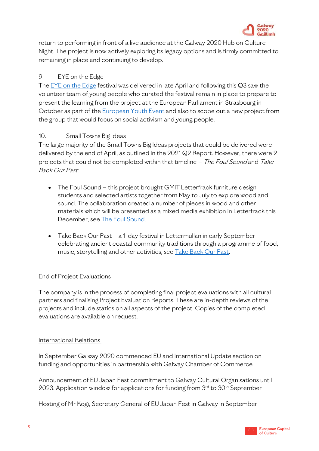

return to performing in front of a live audience at the Galway 2020 Hub on Culture Night. The project is now actively exploring its legacy options and is firmly committed to remaining in place and continuing to develop.

# 9. EYE on the Edge

The **EYE** on the Edge festival was delivered in late April and following this Q3 saw the volunteer team of young people who curated the festival remain in place to prepare to present the learning from the project at the European Parliament in Strasbourg in October as part of the **European Youth Event** and also to scope out a new project from the group that would focus on social activism and young people.

# 10. Small Towns Big Ideas

The large majority of the Small Towns Big Ideas projects that could be delivered were delivered by the end of April, as outlined in the 2021 Q2 Report. However, there were 2 projects that could not be completed within that timeline - The Foul Sound and Take Back Our Past:

- The Foul Sound this project brought GMIT Letterfrack furniture design students and selected artists together from May to July to explore wood and sound. The collaboration created a number of pieces in wood and other materials which will be presented as a mixed media exhibition in Letterfrack this December, see [The Foul Sound.](https://galway2020.ie/en/event/the-foul-sound/)
- Take Back Our Past a 1-day festival in Lettermullan in early September celebrating ancient coastal community traditions through a programme of food, music, storytelling and other activities, see [Take Back Our Past.](https://www.cuigéal.ie/carraig-iolar)

# **End of Project Evaluations**

The company is in the process of completing final project evaluations with all cultural partners and finalising Project Evaluation Reports. These are in-depth reviews of the projects and include statics on all aspects of the project. Copies of the completed evaluations are available on request.

## International Relations

In September Galway 2020 commenced EU and International Update section on funding and opportunities in partnership with Galway Chamber of Commerce

Announcement of EU Japan Fest commitment to Galway Cultural Organisations until 2023. Application window for applications for funding from 3<sup>rd</sup> to 30<sup>th</sup> September

Hosting of Mr Kogi, Secretary General of EU Japan Fest in Galway in September

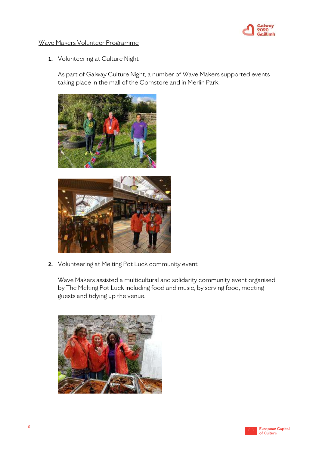

#### Wave Makers Volunteer Programme

**1.** Volunteering at Culture Night

As part of Galway Culture Night, a number of Wave Makers supported events taking place in the mall of the Cornstore and in Merlin Park.





**2.** Volunteering at Melting Pot Luck community event

Wave Makers assisted a multicultural and solidarity community event organised by The Melting Pot Luck including food and music, by serving food, meeting guests and tidying up the venue.



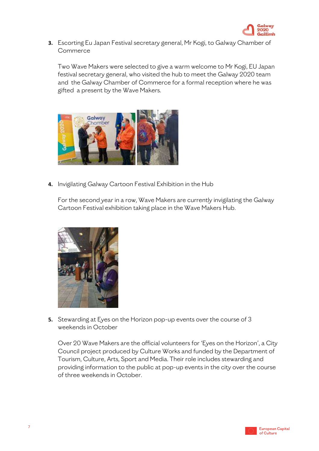

**3.** Escorting Eu Japan Festival secretary general, Mr Kogi, to Galway Chamber of Commerce

Two Wave Makers were selected to give a warm welcome to Mr Kogi, EU Japan festival secretary general, who visited the hub to meet the Galway 2020 team and the Galway Chamber of Commerce for a formal reception where he was gifted a present by the Wave Makers.



**4.** Invigilating Galway Cartoon Festival Exhibition in the Hub

For the second year in a row, Wave Makers are currently invigilating the Galway Cartoon Festival exhibition taking place in the Wave Makers Hub.



**5.** Stewarding at Eyes on the Horizon pop-up events over the course of 3 weekends in October

Over 20 Wave Makers are the official volunteers for 'Eyes on the Horizon', a City Council project produced by Culture Works and funded by the Department of Tourism, Culture, Arts, Sport and Media. Their role includes stewarding and providing information to the public at pop-up events in the city over the course of three weekends in October.

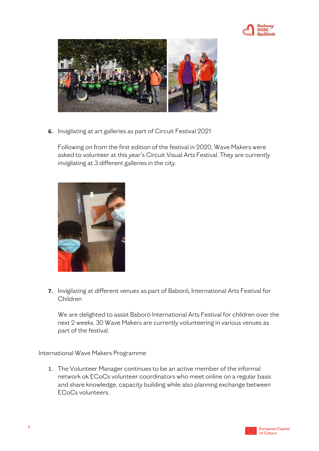



**6.** Invigilating at art galleries as part of Circuit Festival 2021

Following on from the first edition of the festival in 2020, Wave Makers were asked to volunteer at this year's Circuit Visual Arts Festival. They are currently invigilating at 3 different galleries in the city.



**7.** Invigilating at different venues as part of Baboró, International Arts Festival for Children

We are delighted to assist Baboró International Arts Festival for children over the next 2 weeks. 30 Wave Makers are currently volunteering in various venues as part of the festival.

International Wave Makers Programme

1. The Volunteer Manager continues to be an active member of the informal network ok ECoCs volunteer coordinators who meet online on a regular basis and share knowledge, capacity building while also planning exchange between ECoCs volunteers.

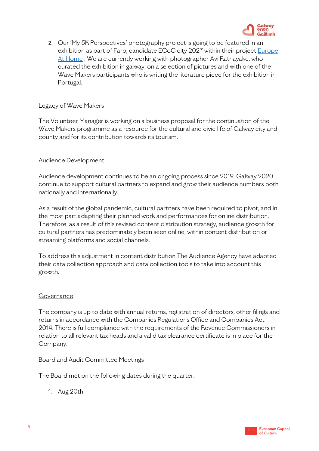

2. Our 'My 5K Perspectives' photography project is going to be featured in an exhibition as part of Faro, candidate ECoC city 2027 within their projec[t Europe](https://www.europeathome.eu/)  [At Home](https://www.europeathome.eu/) . We are currently working with photographer Avi Ratnayake, who curated the exhibition in galway, on a selection of pictures and with one of the Wave Makers participants who is writing the literature piece for the exhibition in Portugal.

#### Legacy of Wave Makers

The Volunteer Manager is working on a business proposal for the continuation of the Wave Makers programme as a resource for the cultural and civic life of Galway city and county and for its contribution towards its tourism.

## Audience Development

Audience development continues to be an ongoing process since 2019. Galway 2020 continue to support cultural partners to expand and grow their audience numbers both nationally and internationally.

As a result of the global pandemic, cultural partners have been required to pivot, and in the most part adapting their planned work and performances for online distribution. Therefore, as a result of this revised content distribution strategy, audience growth for cultural partners has predominately been seen online, within content distribution or streaming platforms and social channels.

To address this adjustment in content distribution The Audience Agency have adapted their data collection approach and data collection tools to take into account this growth.

## Governance

The company is up to date with annual returns, registration of directors, other filings and returns in accordance with the Companies Regulations Office and Companies Act 2014. There is full compliance with the requirements of the Revenue Commissioners in relation to all relevant tax heads and a valid tax clearance certificate is in place for the Company.

Board and Audit Committee Meetings

The Board met on the following dates during the quarter:

1. Aug 20th

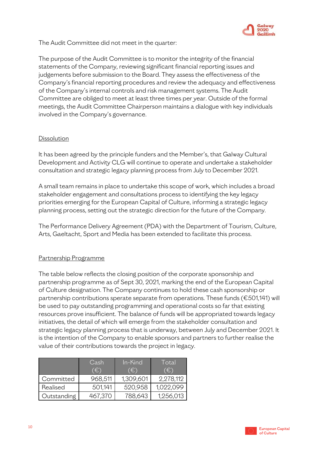

The Audit Committee did not meet in the quarter:

The purpose of the Audit Committee is to monitor the integrity of the financial statements of the Company, reviewing significant financial reporting issues and judgements before submission to the Board. They assess the effectiveness of the Company's financial reporting procedures and review the adequacy and effectiveness of the Company's internal controls and risk management systems. The Audit Committee are obliged to meet at least three times per year. Outside of the formal meetings, the Audit Committee Chairperson maintains a dialogue with key individuals involved in the Company's governance.

#### Dissolution

It has been agreed by the principle funders and the Member's, that Galway Cultural Development and Activity CLG will continue to operate and undertake a stakeholder consultation and strategic legacy planning process from July to December 2021.

A small team remains in place to undertake this scope of work, which includes a broad stakeholder engagement and consultations process to identifying the key legacy priorities emerging for the European Capital of Culture, informing a strategic legacy planning process, setting out the strategic direction for the future of the Company.

The Performance Delivery Agreement (PDA) with the Department of Tourism, Culture, Arts, Gaeltacht, Sport and Media has been extended to facilitate this process.

## Partnership Programme

The table below reflects the closing position of the corporate sponsorship and partnership programme as of Sept 30, 2021, marking the end of the European Capital of Culture designation. The Company continues to hold these cash sponsorship or partnership contributions sperate separate from operations. These funds (€501,141) will be used to pay outstanding programming and operational costs so far that existing resources prove insufficient. The balance of funds will be appropriated towards legacy initiatives, the detail of which will emerge from the stakeholder consultation and strategic legacy planning process that is underway, between July and December 2021. It is the intention of the Company to enable sponsors and partners to further realise the value of their contributions towards the project in legacy.

|             | Cash             | In-Kind   | Total     |
|-------------|------------------|-----------|-----------|
|             | $\hat{\epsilon}$ | '€`       | Έ         |
| Committed   | 968,511          | 1,309,601 | 2,278,112 |
| Realised    | 501,141          | 520,958   | 1,022,099 |
| Outstanding | 467,370          | 788,643   | 1,256,013 |

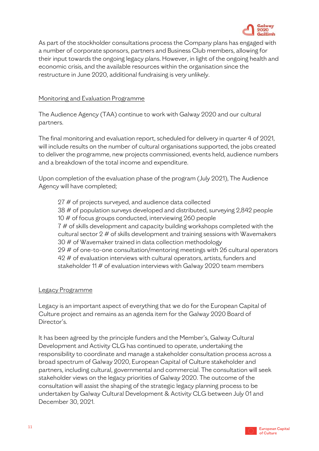

As part of the stockholder consultations process the Company plans has engaged with a number of corporate sponsors, partners and Business Club members, allowing for their input towards the ongoing legacy plans. However, in light of the ongoing health and economic crisis, and the available resources within the organisation since the restructure in June 2020, additional fundraising is very unlikely.

#### Monitoring and Evaluation Programme

The Audience Agency (TAA) continue to work with Galway 2020 and our cultural partners.

The final monitoring and evaluation report, scheduled for delivery in quarter 4 of 2021, will include results on the number of cultural organisations supported, the jobs created to deliver the programme, new projects commissioned, events held, audience numbers and a breakdown of the total income and expenditure.

Upon completion of the evaluation phase of the program (July 2021), The Audience Agency will have completed;

27 # of projects surveyed, and audience data collected 38 # of population surveys developed and distributed, surveying 2,842 people 10 # of focus groups conducted, interviewing 260 people 7 # of skills development and capacity building workshops completed with the cultural sector  $2 \#$  of skills development and training sessions with Wavemakers 30 # of Wavemaker trained in data collection methodology 29 # of one-to-one consultation/mentoring meetings with 26 cultural operators 42 # of evaluation interviews with cultural operators, artists, funders and stakeholder 11 # of evaluation interviews with Galway 2020 team members

#### Legacy Programme

Legacy is an important aspect of everything that we do for the European Capital of Culture project and remains as an agenda item for the Galway 2020 Board of Director's.

It has been agreed by the principle funders and the Member's, Galway Cultural Development and Activity CLG has continued to operate, undertaking the responsibility to coordinate and manage a stakeholder consultation process across a broad spectrum of Galway 2020, European Capital of Culture stakeholder and partners, including cultural, governmental and commercial. The consultation will seek stakeholder views on the legacy priorities of Galway 2020. The outcome of the consultation will assist the shaping of the strategic legacy planning process to be undertaken by Galway Cultural Development & Activity CLG between July 01 and December 30, 2021.

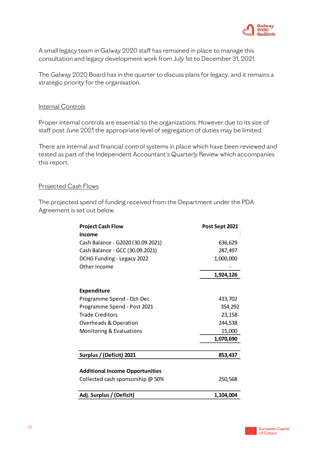

A small legacy team in Galway 2020 staff has remained in place to manage this consultation and legacy development work from July 1st to December 31, 2021.

The Galway 2020 Board has in the quarter to discuss plans for legacy, and it remains a strategic priority for the organisation.

#### Internal Controls

Proper internal controls are essential to the organizations. However due to its size of staff post June 2021 the appropriate level of segregation of duties may be limited.

There are internal and financial control systems in place which have been reviewed and tested as part of the Independent Accountant's Quarterly Review which accompanies this report.

#### Projected Cash Flows

The projected spend of funding received from the Department under the PDA Agreement is set out below.

| <b>Project Cash Flow</b>               | Post Sept 2021 |
|----------------------------------------|----------------|
| <b>Income</b>                          |                |
| Cash Balance - G2020 (30.09.2021)      | 636,629        |
| Cash Balance - GCC (30.09.2021)        | 287,497        |
| DCHG Funding - Legacy 2022             | 1,000,000      |
| Other Income                           |                |
|                                        | 1,924,126      |
| <b>Expenditure</b>                     |                |
| Programme Spend - Oct-Dec              | 433,702        |
| Programme Spend - Post 2021            | 354,292        |
| <b>Trade Creditors</b>                 | 23,158         |
| <b>Overheads &amp; Operation</b>       | 244,538        |
| Monitoring & Evaluations               | 15,000         |
|                                        | 1,070,690      |
|                                        |                |
| Surplus / (Deficit) 2021               | 853,437        |
|                                        |                |
| <b>Additional Income Opportunities</b> |                |
| Collected cash sponsorship @ 50%       | 250,568        |
| Adj. Surplus / (Deficit)               | 1,104,004      |

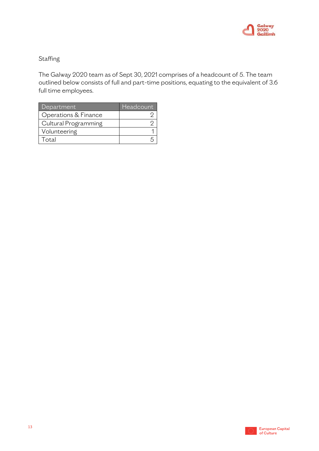

# **Staffing**

The Galway 2020 team as of Sept 30, 2021 comprises of a headcount of 5. The team outlined below consists of full and part-time positions, equating to the equivalent of 3.6 full time employees.

| Department           | Headcount |
|----------------------|-----------|
| Operations & Finance |           |
| Cultural Programming |           |
| Volunteering         |           |
| Total                |           |